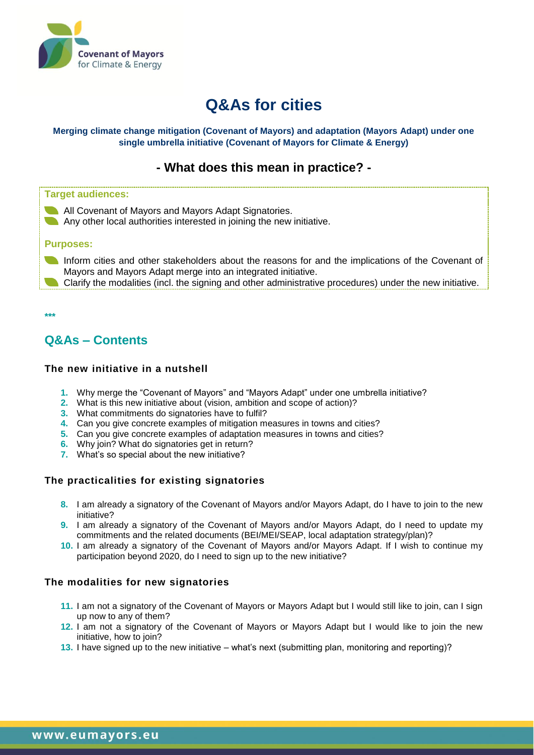

# **Q&As for cities**

#### **Merging climate change mitigation (Covenant of Mayors) and adaptation (Mayors Adapt) under one single umbrella initiative (Covenant of Mayors for Climate & Energy)**

# **- What does this mean in practice? -**

#### **Target audiences:**

**All Covenant of Mayors and Mayors Adapt Signatories.** Any other local authorities interested in joining the new initiative.

#### **Purposes:**

Inform cities and other stakeholders about the reasons for and the implications of the Covenant of Mayors and Mayors Adapt merge into an integrated initiative.

Clarify the modalities (incl. the signing and other administrative procedures) under the new initiative.

**\*\*\***

# **Q&As – Contents**

### **The new initiative in a nutshell**

- **1.** Why merge the "Covenant of Mayors" and "Mayors Adapt" under one umbrella initiative?
- **2.** What is this new initiative about (vision, ambition and scope of action)?
- **3.** What commitments do signatories have to fulfil?
- **4.** Can you give concrete examples of mitigation measures in towns and cities?
- **5.** Can you give concrete examples of adaptation measures in towns and cities?
- **6.** Why join? What do signatories get in return?
- **7.** What's so special about the new initiative?

## **The practicalities for existing signatories**

- **8.** I am already a signatory of the Covenant of Mayors and/or Mayors Adapt, do I have to join to the new initiative?
- **9.** I am already a signatory of the Covenant of Mayors and/or Mayors Adapt, do I need to update my commitments and the related documents (BEI/MEI/SEAP, local adaptation strategy/plan)?
- **10.** I am already a signatory of the Covenant of Mayors and/or Mayors Adapt. If I wish to continue my participation beyond 2020, do I need to sign up to the new initiative?

### **The modalities for new signatories**

- **11.** I am not a signatory of the Covenant of Mayors or Mayors Adapt but I would still like to join, can I sign up now to any of them?
- **12.** I am not a signatory of the Covenant of Mayors or Mayors Adapt but I would like to join the new initiative, how to join?
- **13.** I have signed up to the new initiative what's next (submitting plan, monitoring and reporting)?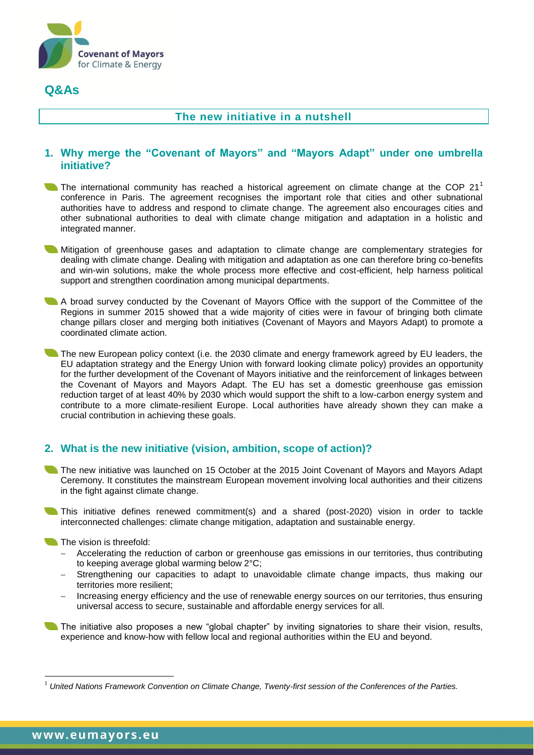

# **Q&As**

## **The new initiative in a nutshell**

## **1. Why merge the "Covenant of Mayors" and "Mayors Adapt" under one umbrella initiative?**

The international community has reached a historical agreement on climate change at the COP 21<sup>1</sup> conference in Paris. The agreement recognises the important role that cities and other subnational authorities have to address and respond to climate change. The agreement also encourages cities and other subnational authorities to deal with climate change mitigation and adaptation in a holistic and integrated manner.

Mitigation of greenhouse gases and adaptation to climate change are complementary strategies for dealing with climate change. Dealing with mitigation and adaptation as one can therefore bring co-benefits and win-win solutions, make the whole process more effective and cost-efficient, help harness political support and strengthen coordination among municipal departments.

A broad survey conducted by the Covenant of Mayors Office with the support of the Committee of the Regions in summer 2015 showed that a wide majority of cities were in favour of bringing both climate change pillars closer and merging both initiatives (Covenant of Mayors and Mayors Adapt) to promote a coordinated climate action.

The new European policy context (i.e. the 2030 climate and energy framework agreed by EU leaders, the EU adaptation strategy and the Energy Union with forward looking climate policy) provides an opportunity for the further development of the Covenant of Mayors initiative and the reinforcement of linkages between the Covenant of Mayors and Mayors Adapt. The EU has set a domestic greenhouse gas emission reduction target of at least 40% by 2030 which would support the shift to a low-carbon energy system and contribute to a more climate-resilient Europe. Local authorities have already shown they can make a crucial contribution in achieving these goals.

## **2. What is the new initiative (vision, ambition, scope of action)?**

The new initiative was launched on 15 October at the 2015 Joint Covenant of Mayors and Mayors Adapt Ceremony. It constitutes the mainstream European movement involving local authorities and their citizens in the fight against climate change.

This initiative defines renewed commitment(s) and a shared (post-2020) vision in order to tackle interconnected challenges: climate change mitigation, adaptation and sustainable energy.

#### The vision is threefold:

- Accelerating the reduction of carbon or greenhouse gas emissions in our territories, thus contributing to keeping average global warming below 2°C;
- Strengthening our capacities to adapt to unavoidable climate change impacts, thus making our territories more resilient;
- Increasing energy efficiency and the use of renewable energy sources on our territories, thus ensuring universal access to secure, sustainable and affordable energy services for all.

The initiative also proposes a new "global chapter" by inviting signatories to share their vision, results, experience and know-how with fellow local and regional authorities within the EU and beyond.

 $\overline{a}$ 

<sup>1</sup> *United Nations Framework Convention on Climate Change, Twenty-first session of the Conferences of the Parties.*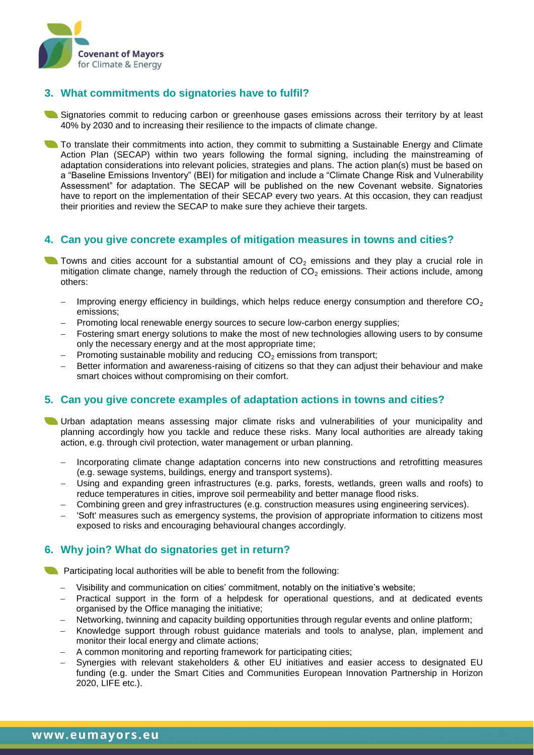

## **3. What commitments do signatories have to fulfil?**

Signatories commit to reducing carbon or greenhouse gases emissions across their territory by at least 40% by 2030 and to increasing their resilience to the impacts of climate change.

To translate their commitments into action, they commit to submitting a Sustainable Energy and Climate Action Plan (SECAP) within two years following the formal signing, including the mainstreaming of adaptation considerations into relevant policies, strategies and plans. The action plan(s) must be based on a "Baseline Emissions Inventory" (BEI) for mitigation and include a "Climate Change Risk and Vulnerability Assessment" for adaptation. The SECAP will be published on the new Covenant website. Signatories have to report on the implementation of their SECAP every two years. At this occasion, they can readjust their priorities and review the SECAP to make sure they achieve their targets.

## **4. Can you give concrete examples of mitigation measures in towns and cities?**

- Towns and cities account for a substantial amount of  $CO<sub>2</sub>$  emissions and they play a crucial role in mitigation climate change, namely through the reduction of  $CO<sub>2</sub>$  emissions. Their actions include, among others:
	- Improving energy efficiency in buildings, which helps reduce energy consumption and therefore  $CO<sub>2</sub>$ emissions;
	- Promoting local renewable energy sources to secure low-carbon energy supplies;
	- Fostering smart energy solutions to make the most of new technologies allowing users to by consume only the necessary energy and at the most appropriate time;
	- Promoting sustainable mobility and reducing  $CO<sub>2</sub>$  emissions from transport;
	- Better information and awareness-raising of citizens so that they can adjust their behaviour and make smart choices without compromising on their comfort.

### **5. Can you give concrete examples of adaptation actions in towns and cities?**

- Urban adaptation means assessing major climate risks and vulnerabilities of your municipality and planning accordingly how you tackle and reduce these risks. Many local authorities are already taking action, e.g. through civil protection, water management or urban planning.
	- Incorporating climate change adaptation concerns into new constructions and retrofitting measures (e.g. sewage systems, buildings, energy and transport systems).
	- Using and expanding green infrastructures (e.g. parks, forests, wetlands, green walls and roofs) to reduce temperatures in cities, improve soil permeability and better manage flood risks.
	- Combining green and grey infrastructures (e.g. construction measures using engineering services).
	- 'Soft' measures such as emergency systems, the provision of appropriate information to citizens most exposed to risks and encouraging behavioural changes accordingly.

## **6. Why join? What do signatories get in return?**

**Participating local authorities will be able to benefit from the following:** 

- Visibility and communication on cities' commitment, notably on the initiative's website;
- Practical support in the form of a helpdesk for operational questions, and at dedicated events organised by the Office managing the initiative;
- Networking, twinning and capacity building opportunities through regular events and online platform;
- Knowledge support through robust guidance materials and tools to analyse, plan, implement and monitor their local energy and climate actions;
- A common monitoring and reporting framework for participating cities;
- Synergies with relevant stakeholders & other EU initiatives and easier access to designated EU funding (e.g. under the Smart Cities and Communities European Innovation Partnership in Horizon 2020, LIFE etc.).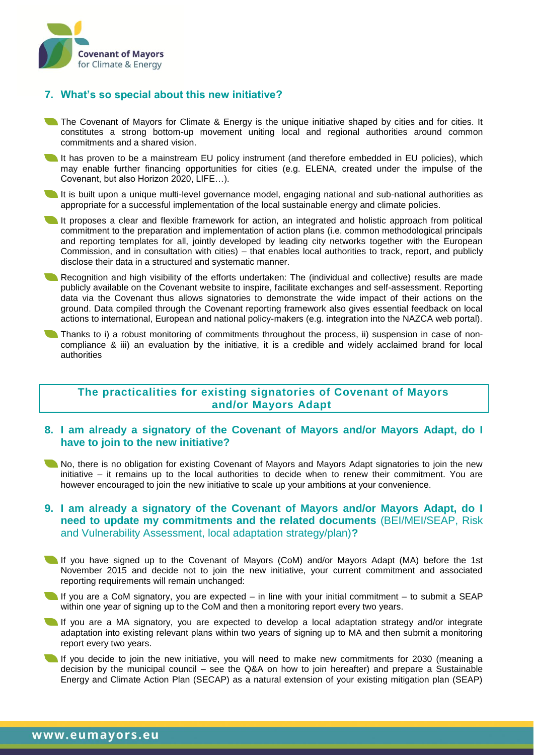

## **7. What's so special about this new initiative?**

- The Covenant of Mayors for Climate & Energy is the unique initiative shaped by cities and for cities. It constitutes a strong bottom-up movement uniting local and regional authorities around common commitments and a shared vision.
- It has proven to be a mainstream EU policy instrument (and therefore embedded in EU policies), which may enable further financing opportunities for cities (e.g. ELENA, created under the impulse of the Covenant, but also Horizon 2020, LIFE…).
- It is built upon a unique multi-level governance model, engaging national and sub-national authorities as appropriate for a successful implementation of the local sustainable energy and climate policies.
- It proposes a clear and flexible framework for action, an integrated and holistic approach from political commitment to the preparation and implementation of action plans (i.e. common methodological principals and reporting templates for all, jointly developed by leading city networks together with the European Commission, and in consultation with cities) – that enables local authorities to track, report, and publicly disclose their data in a structured and systematic manner.
- Recognition and high visibility of the efforts undertaken: The (individual and collective) results are made publicly available on the Covenant website to inspire, facilitate exchanges and self-assessment. Reporting data via the Covenant thus allows signatories to demonstrate the wide impact of their actions on the ground. Data compiled through the Covenant reporting framework also gives essential feedback on local actions to international, European and national policy-makers (e.g. integration into the [NAZCA](http://climateaction.unfccc.int/about.aspx) web portal).
- Thanks to i) a robust monitoring of commitments throughout the process, ii) suspension in case of noncompliance & iii) an evaluation by the initiative, it is a credible and widely acclaimed brand for local authorities

### **The practicalities for existing signatories of Covenant of Mayors and/or Mayors Adapt**

### **8. I am already a signatory of the Covenant of Mayors and/or Mayors Adapt, do I have to join to the new initiative?**

No, there is no obligation for existing Covenant of Mayors and Mayors Adapt signatories to join the new initiative – it remains up to the local authorities to decide when to renew their commitment. You are however encouraged to join the new initiative to scale up your ambitions at your convenience.

### **9. I am already a signatory of the Covenant of Mayors and/or Mayors Adapt, do I need to update my commitments and the related documents** (BEI/MEI/SEAP, Risk and Vulnerability Assessment, local adaptation strategy/plan)**?**

- If you have signed up to the Covenant of Mayors (CoM) and/or Mayors Adapt (MA) before the 1st November 2015 and decide not to join the new initiative, your current commitment and associated reporting requirements will remain unchanged:
- If you are a CoM signatory, you are expected in line with your initial commitment to submit a SEAP within one year of signing up to the CoM and then a monitoring report every two years.
- If you are a MA signatory, you are expected to develop a local adaptation strategy and/or integrate adaptation into existing relevant plans within two years of signing up to MA and then submit a monitoring report every two years.
- If you decide to join the new initiative, you will need to make new commitments for 2030 (meaning a decision by the municipal council – see the Q&A on how to join hereafter) and prepare a Sustainable Energy and Climate Action Plan (SECAP) as a natural extension of your existing mitigation plan (SEAP)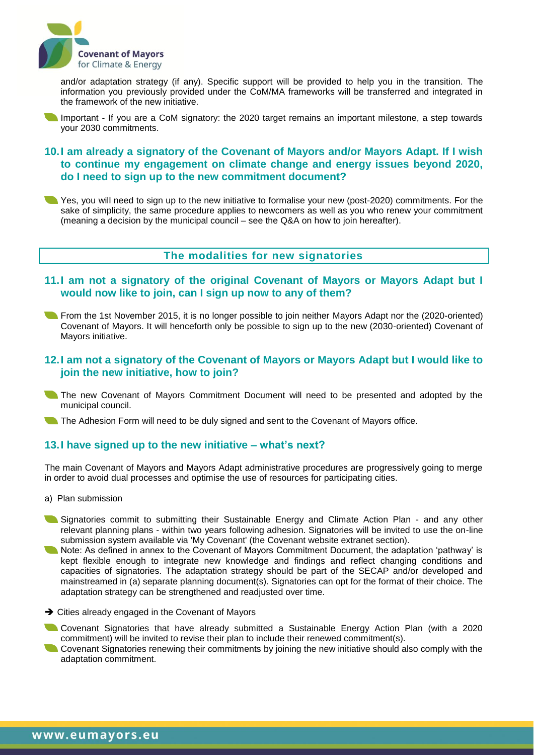

and/or adaptation strategy (if any). Specific support will be provided to help you in the transition. The information you previously provided under the CoM/MA frameworks will be transferred and integrated in the framework of the new initiative.

Important - If you are a CoM signatory: the 2020 target remains an important milestone, a step towards your 2030 commitments.

## **10.I am already a signatory of the Covenant of Mayors and/or Mayors Adapt. If I wish to continue my engagement on climate change and energy issues beyond 2020, do I need to sign up to the new commitment document?**

Yes, you will need to sign up to the new initiative to formalise your new (post-2020) commitments. For the sake of simplicity, the same procedure applies to newcomers as well as you who renew your commitment (meaning a decision by the municipal council – see the Q&A on how to join hereafter).

## **The modalities for new signatories**

- **11.I am not a signatory of the original Covenant of Mayors or Mayors Adapt but I would now like to join, can I sign up now to any of them?**
- **The 1st November 2015, it is no longer possible to join neither Mayors Adapt nor the (2020-oriented)** Covenant of Mayors. It will henceforth only be possible to sign up to the new (2030-oriented) Covenant of Mayors initiative.

#### **12.I am not a signatory of the Covenant of Mayors or Mayors Adapt but I would like to join the new initiative, how to join?**

The new Covenant of Mayors Commitment Document will need to be presented and adopted by the municipal council.

The Adhesion Form will need to be duly signed and sent to the Covenant of Mayors office.

### **13.I have signed up to the new initiative – what's next?**

The main Covenant of Mayors and Mayors Adapt administrative procedures are progressively going to merge in order to avoid dual processes and optimise the use of resources for participating cities.

- a) Plan submission
- Signatories commit to submitting their Sustainable Energy and Climate Action Plan and any other relevant planning plans - within two years following adhesion. Signatories will be invited to use the on-line submission system available via 'My Covenant' (the Covenant website extranet section).
- Note: As defined in annex to the Covenant of Mayors Commitment Document, the adaptation 'pathway' is kept flexible enough to integrate new knowledge and findings and reflect changing conditions and capacities of signatories. The adaptation strategy should be part of the SECAP and/or developed and mainstreamed in (a) separate planning document(s). Signatories can opt for the format of their choice. The adaptation strategy can be strengthened and readjusted over time.
- $\rightarrow$  Cities already engaged in the Covenant of Mayors
- Covenant Signatories that have already submitted a Sustainable Energy Action Plan (with a 2020 commitment) will be invited to revise their plan to include their renewed commitment(s).
- Covenant Signatories renewing their commitments by joining the new initiative should also comply with the adaptation commitment.